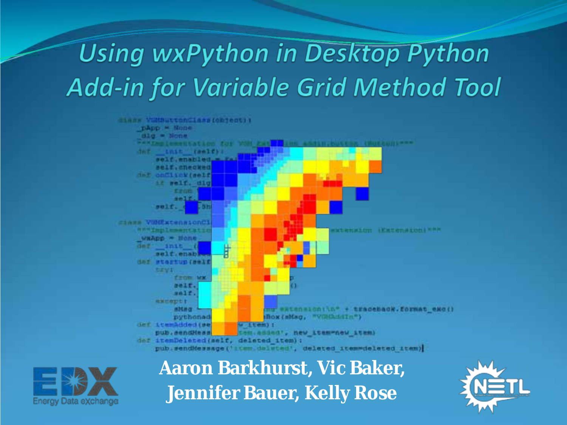### **Using wxPython in Desktop Python Add-in for Variable Grid Method Tool**





#### **Aaron Barkhurst, Vic Baker, Jennifer Bauer, Kelly Rose**

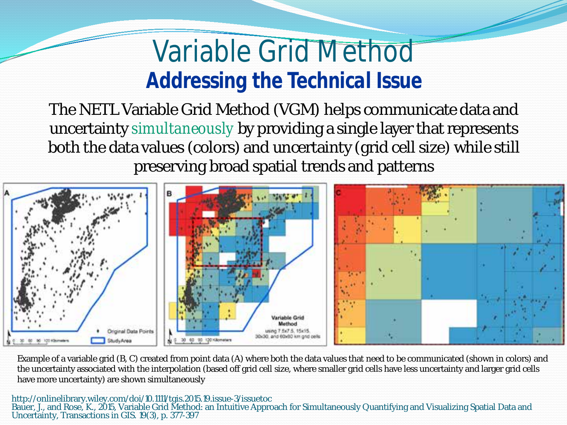### Variable Grid Method *Addressing the Technical Issue*

The NETL Variable Grid Method (VGM) helps communicate data and uncertainty *simultaneously* by providing a single layer that represents both the data values (colors) and uncertainty (grid cell size) while still preserving broad spatial trends and patterns



Example of a variable grid (B, C) created from point data (A) where both the data values that need to be communicated (shown in colors) and the uncertainty associated with the interpolation (based off grid cell size, where smaller grid cells have less uncertainty and larger grid cells have more uncertainty) are shown simultaneously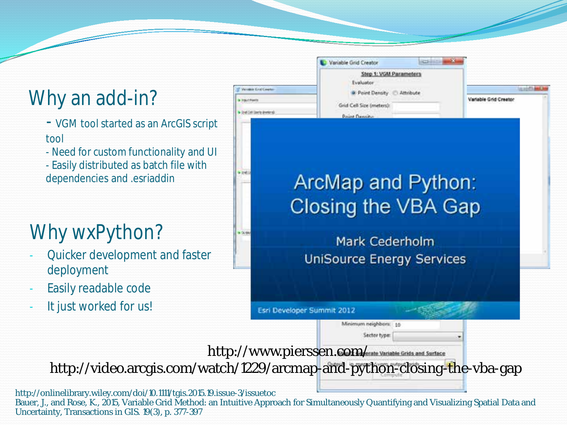#### Why an add-in?

- VGM tool started as an ArcGIS script tool
- Need for custom functionality and UI
- Easily distributed as batch file with dependencies and .esriaddin

#### Why wxPython?

- Quicker development and faster deployment
- Easily readable code
- It just worked for us!

|  | Variable Grid Creator                                           |  |                       |  |
|--|-----------------------------------------------------------------|--|-----------------------|--|
|  | Step 1: VGM Parameters<br>.<br>Evaluator                        |  |                       |  |
|  | <b>B</b> Point Density<br>Attribute<br>Grid Cell Size (meters): |  | Variable Grid Creator |  |
|  |                                                                 |  |                       |  |
|  | <b>Point Density</b>                                            |  |                       |  |
|  |                                                                 |  |                       |  |

#### ArcMap and Python: Closing the VBA Gap

Mark Cederholm **UniSource Energy Services** 

Esri Developer Summit 2012

Minimum neighbors: 10

Sector type:

http://www.pierssen.com/scate Variable Grids and Surface

http://video.arcgis.com/watch/1229/arcmap-and-python-closing-the-vba-gap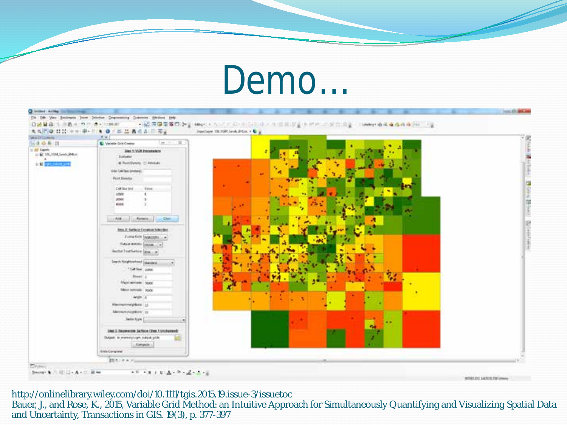### Demo…



http://onlinelibrary.wiley.com/doi/10.1111/tgis.2015.19.issue-3/issuetoc

Bauer, J., and Rose, K., 2015, Variable Grid Method: an Intuitive Approach for Simultaneously Quantifying and Visualizing Spatial Data and Uncertainty, Transactions in GIS. 19(3), p. 377-397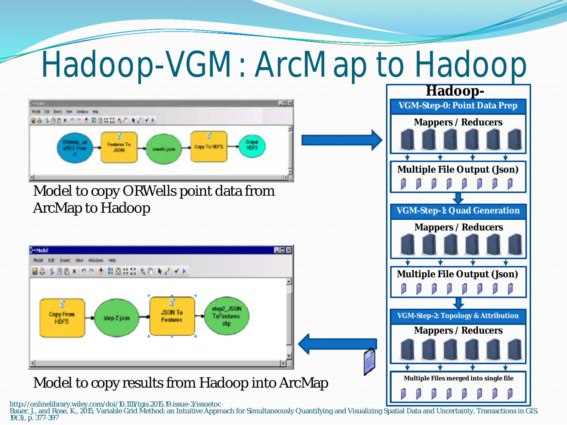## Hadoop-VGM: ArcMap to Hadoop



Bauer, J., and Rose, K., 2015, Variable Grid Method: an Intuitive Approach for Simultaneously Quantifying and Visualizing Spatial Data and Uncertainty, Transactions in GIS.<br>19(3), p. 377-397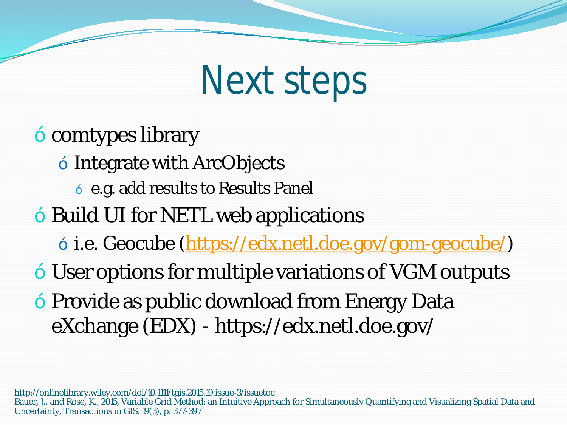## Next steps

- comtypes library
	- Integrate with ArcObjects
		- e.g. add results to Results Panel
- Build UI for NETL web applications
	- i.e. Geocube [\(https://edx.netl.doe.gov/gom-geocube/](https://edx.netl.doe.gov/gom-geocube/))
- User options for multiple variations of VGM outputs
- Provide as public download from Energy Data eXchange (EDX) - https://edx.netl.doe.gov/